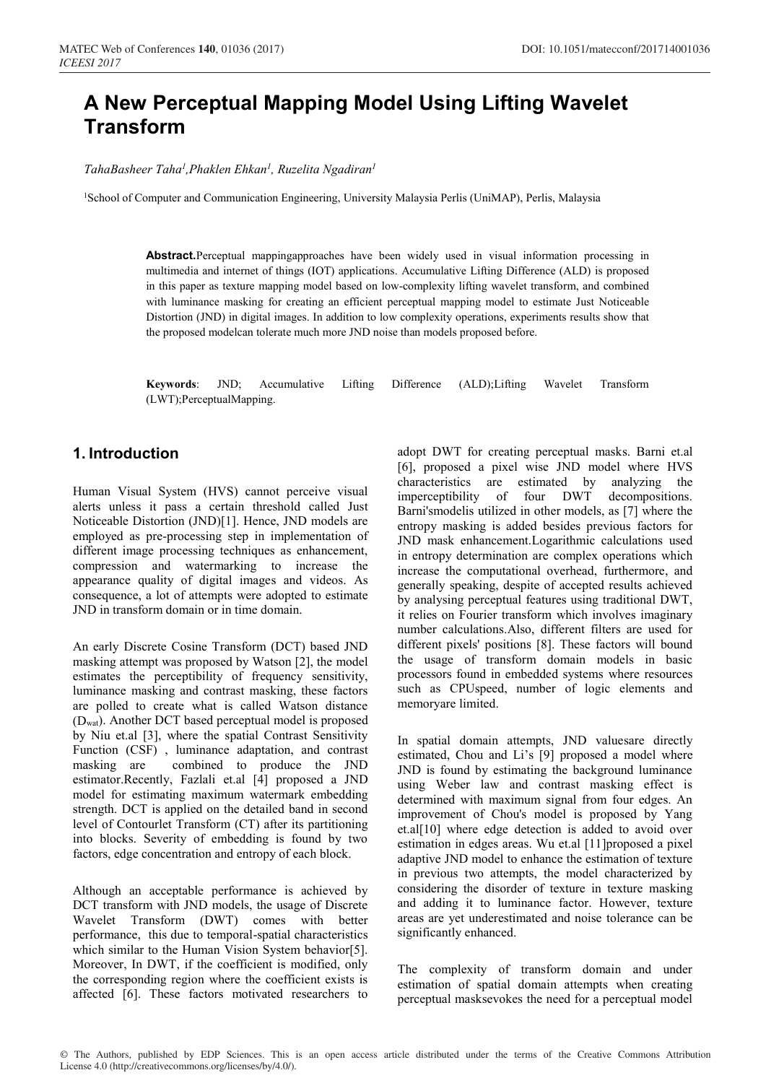# **A New Perceptual Mapping Model Using Lifting Wavelet Transform**

*TahaBasheer Taha1 ,Phaklen Ehkan1 , Ruzelita Ngadiran1*

<sup>1</sup>School of Computer and Communication Engineering, University Malaysia Perlis (UniMAP), Perlis, Malaysia

**Abstract.**Perceptual mappingapproaches have been widely used in visual information processing in multimedia and internet of things (IOT) applications. Accumulative Lifting Difference (ALD) is proposed in this paper as texture mapping model based on low-complexity lifting wavelet transform, and combined with luminance masking for creating an efficient perceptual mapping model to estimate Just Noticeable Distortion (JND) in digital images. In addition to low complexity operations, experiments results show that the proposed modelcan tolerate much more JND noise than models proposed before.

**Keywords**: JND; Accumulative Lifting Difference (ALD);Lifting Wavelet Transform (LWT);PerceptualMapping.

# **1. Introduction**

Human Visual System (HVS) cannot perceive visual alerts unless it pass a certain threshold called Just Noticeable Distortion (JND)[1]. Hence, JND models are employed as pre-processing step in implementation of different image processing techniques as enhancement, compression and watermarking to increase the appearance quality of digital images and videos. As consequence, a lot of attempts were adopted to estimate JND in transform domain or in time domain.

An early Discrete Cosine Transform (DCT) based JND masking attempt was proposed by Watson [2], the model estimates the perceptibility of frequency sensitivity, luminance masking and contrast masking, these factors are polled to create what is called Watson distance (Dwat). Another DCT based perceptual model is proposed by Niu et.al [3], where the spatial Contrast Sensitivity Function (CSF) , luminance adaptation, and contrast masking are combined to produce the JND estimator.Recently, Fazlali et.al [4] proposed a JND model for estimating maximum watermark embedding strength. DCT is applied on the detailed band in second level of Contourlet Transform (CT) after its partitioning into blocks. Severity of embedding is found by two factors, edge concentration and entropy of each block.

Although an acceptable performance is achieved by DCT transform with JND models, the usage of Discrete Wavelet Transform (DWT) comes with better performance, this due to temporal-spatial characteristics which similar to the Human Vision System behavior[5]. Moreover, In DWT, if the coefficient is modified, only the corresponding region where the coefficient exists is affected [6]. These factors motivated researchers to

adopt DWT for creating perceptual masks. Barni et.al [6], proposed a pixel wise JND model where HVS characteristics are estimated by analyzing the imperceptibility of four DWT decompositions. Barni'smodelis utilized in other models, as [7] where the entropy masking is added besides previous factors for JND mask enhancement.Logarithmic calculations used in entropy determination are complex operations which increase the computational overhead, furthermore, and generally speaking, despite of accepted results achieved by analysing perceptual features using traditional DWT, it relies on Fourier transform which involves imaginary number calculations.Also, different filters are used for different pixels' positions [8]. These factors will bound the usage of transform domain models in basic processors found in embedded systems where resources such as CPUspeed, number of logic elements and memoryare limited.

In spatial domain attempts, JND valuesare directly estimated, Chou and Li's [9] proposed a model where JND is found by estimating the background luminance using Weber law and contrast masking effect is determined with maximum signal from four edges. An improvement of Chou's model is proposed by Yang et.al[10] where edge detection is added to avoid over estimation in edges areas. Wu et.al [11]proposed a pixel adaptive JND model to enhance the estimation of texture in previous two attempts, the model characterized by considering the disorder of texture in texture masking and adding it to luminance factor. However, texture areas are yet underestimated and noise tolerance can be significantly enhanced.

The complexity of transform domain and under estimation of spatial domain attempts when creating perceptual masksevokes the need for a perceptual model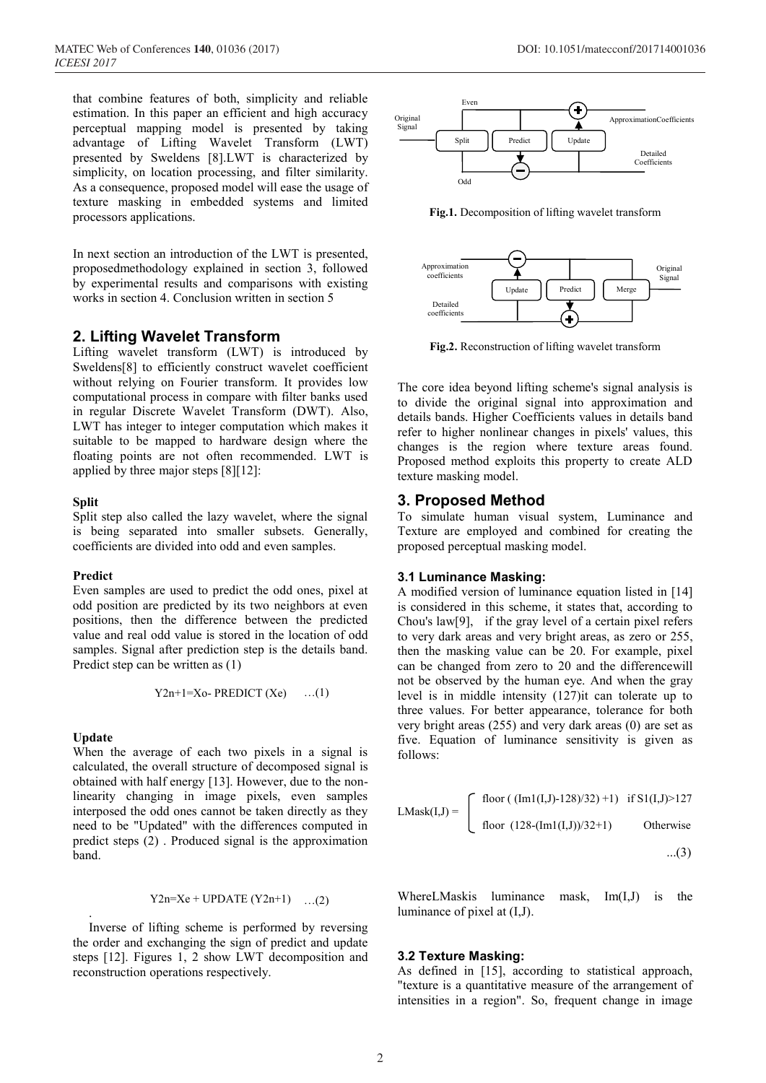that combine features of both, simplicity and reliable estimation. In this paper an efficient and high accuracy perceptual mapping model is presented by taking advantage of Lifting Wavelet Transform (LWT) presented by Sweldens [8].LWT is characterized by simplicity, on location processing, and filter similarity. As a consequence, proposed model will ease the usage of texture masking in embedded systems and limited processors applications.

In next section an introduction of the LWT is presented, proposedmethodology explained in section 3, followed by experimental results and comparisons with existing works in section 4. Conclusion written in section 5

## **2. Lifting Wavelet Transform**

Lifting wavelet transform (LWT) is introduced by Sweldens[8] to efficiently construct wavelet coefficient without relying on Fourier transform. It provides low computational process in compare with filter banks used in regular Discrete Wavelet Transform (DWT). Also, LWT has integer to integer computation which makes it suitable to be mapped to hardware design where the floating points are not often recommended. LWT is applied by three major steps [8][12]:

#### **Split**

Split step also called the lazy wavelet, where the signal is being separated into smaller subsets. Generally, coefficients are divided into odd and even samples.

#### **Predict**

Even samples are used to predict the odd ones, pixel at odd position are predicted by its two neighbors at even positions, then the difference between the predicted value and real odd value is stored in the location of odd samples. Signal after prediction step is the details band. Predict step can be written as (1)

$$
Y2n+1=Xo-PREDICT(Xe) \qquad ...(1)
$$

### **Update**

.

When the average of each two pixels in a signal is calculated, the overall structure of decomposed signal is obtained with half energy [13]. However, due to the nonlinearity changing in image pixels, even samples interposed the odd ones cannot be taken directly as they need to be "Updated" with the differences computed in predict steps (2) . Produced signal is the approximation band.

$$
Y2n = Xe + UPDATE (Y2n+1) \dots (2)
$$

Inverse of lifting scheme is performed by reversing the order and exchanging the sign of predict and update steps [12]. Figures 1, 2 show LWT decomposition and reconstruction operations respectively.



**Fig.1.** Decomposition of lifting wavelet transform



**Fig.2.** Reconstruction of lifting wavelet transform

The core idea beyond lifting scheme's signal analysis is to divide the original signal into approximation and details bands. Higher Coefficients values in details band refer to higher nonlinear changes in pixels' values, this changes is the region where texture areas found. Proposed method exploits this property to create ALD texture masking model.

## **3. Proposed Method**

To simulate human visual system, Luminance and Texture are employed and combined for creating the proposed perceptual masking model.

#### **3.1 Luminance Masking:**

A modified version of luminance equation listed in [14] is considered in this scheme, it states that, according to Chou's law[9], if the gray level of a certain pixel refers to very dark areas and very bright areas, as zero or 255, then the masking value can be 20. For example, pixel can be changed from zero to 20 and the differencewill not be observed by the human eye. And when the gray level is in middle intensity (127)it can tolerate up to three values. For better appearance, tolerance for both very bright areas (255) and very dark areas (0) are set as five. Equation of luminance sensitivity is given as follows:

$$
LMask(I,J) = \begin{cases} \text{floor}((\text{Im1}(I,J)-128)/32) + 1) & \text{if } S1(I,J) > 127 \\ \text{floor}((128-(\text{Im1}(I,J))/32+1)) & \text{Otherwise} \\ \dots(3) & \dots(3) \end{cases}
$$

WhereLMaskis luminance mask, Im(I,J) is the luminance of pixel at (I,J).

#### **3.2 Texture Masking:**

As defined in [15], according to statistical approach, "texture is a quantitative measure of the arrangement of intensities in a region". So, frequent change in image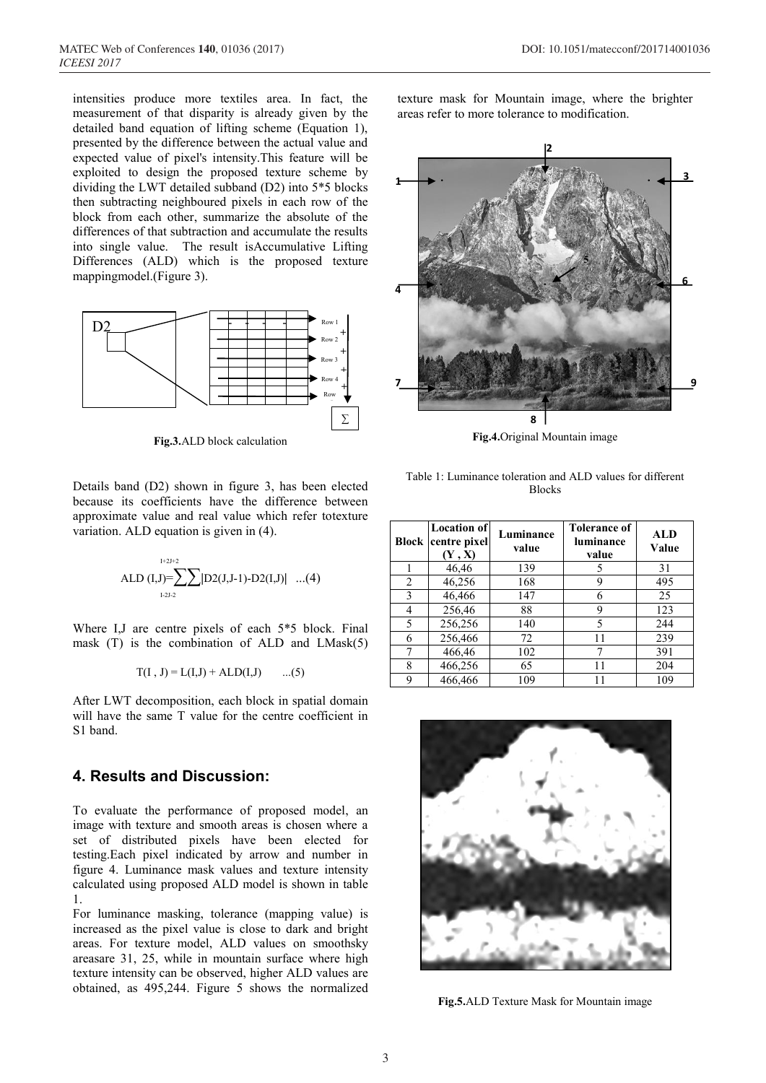intensities produce more textiles area. In fact, the measurement of that disparity is already given by the detailed band equation of lifting scheme (Equation 1), presented by the difference between the actual value and expected value of pixel's intensity.This feature will be exploited to design the proposed texture scheme by dividing the LWT detailed subband (D2) into 5\*5 blocks then subtracting neighboured pixels in each row of the block from each other, summarize the absolute of the differences of that subtraction and accumulate the results into single value. The result isAccumulative Lifting Differences (ALD) which is the proposed texture mappingmodel.(Figure 3).



**Fig.3.**ALD block calculation

Details band (D2) shown in figure 3, has been elected because its coefficients have the difference between approximate value and real value which refer totexture variation. ALD equation is given in (4).

I+2J+2 ALD (I,J)=∑∑**<sup>|</sup>**D2(J,J-1)-D2(I,J)**|** ...(4) I-2J-2

Where I,J are centre pixels of each 5\*5 block. Final mask (T) is the combination of ALD and LMask(5)

$$
T(I, J) = L(I, J) + ALD(I, J)
$$
 ...(5)

After LWT decomposition, each block in spatial domain will have the same T value for the centre coefficient in S1 band.

## **4. Results and Discussion:**

To evaluate the performance of proposed model, an image with texture and smooth areas is chosen where a set of distributed pixels have been elected for testing.Each pixel indicated by arrow and number in figure 4. Luminance mask values and texture intensity calculated using proposed ALD model is shown in table 1.

For luminance masking, tolerance (mapping value) is increased as the pixel value is close to dark and bright areas. For texture model, ALD values on smoothsky areasare 31, 25, while in mountain surface where high texture intensity can be observed, higher ALD values are obtained, as 495,244. Figure 5 shows the normalized texture mask for Mountain image, where the brighter areas refer to more tolerance to modification.



**Fig.4.**Original Mountain image

Table 1: Luminance toleration and ALD values for different Blocks

| Block | <b>Location of</b><br>centre pixel<br>(Y, X) | Luminance<br>value | <b>Tolerance of</b><br>luminance<br>value | <b>ALD</b><br>Value |
|-------|----------------------------------------------|--------------------|-------------------------------------------|---------------------|
|       | 46,46                                        | 139                | 5                                         | 31                  |
| 2     | 46,256                                       | 168                | 9                                         | 495                 |
| 3     | 46,466                                       | 147                | 6                                         | 25                  |
| 4     | 256,46                                       | 88                 | 9                                         | 123                 |
| 5     | 256,256                                      | 140                | 5                                         | 244                 |
| 6     | 256,466                                      | 72                 | 11                                        | 239                 |
| 7     | 466,46                                       | 102                |                                           | 391                 |
| 8     | 466,256                                      | 65                 | 11                                        | 204                 |
| 9     | 466,466                                      | 109                | 11                                        | 109                 |



**Fig.5.**ALD Texture Mask for Mountain image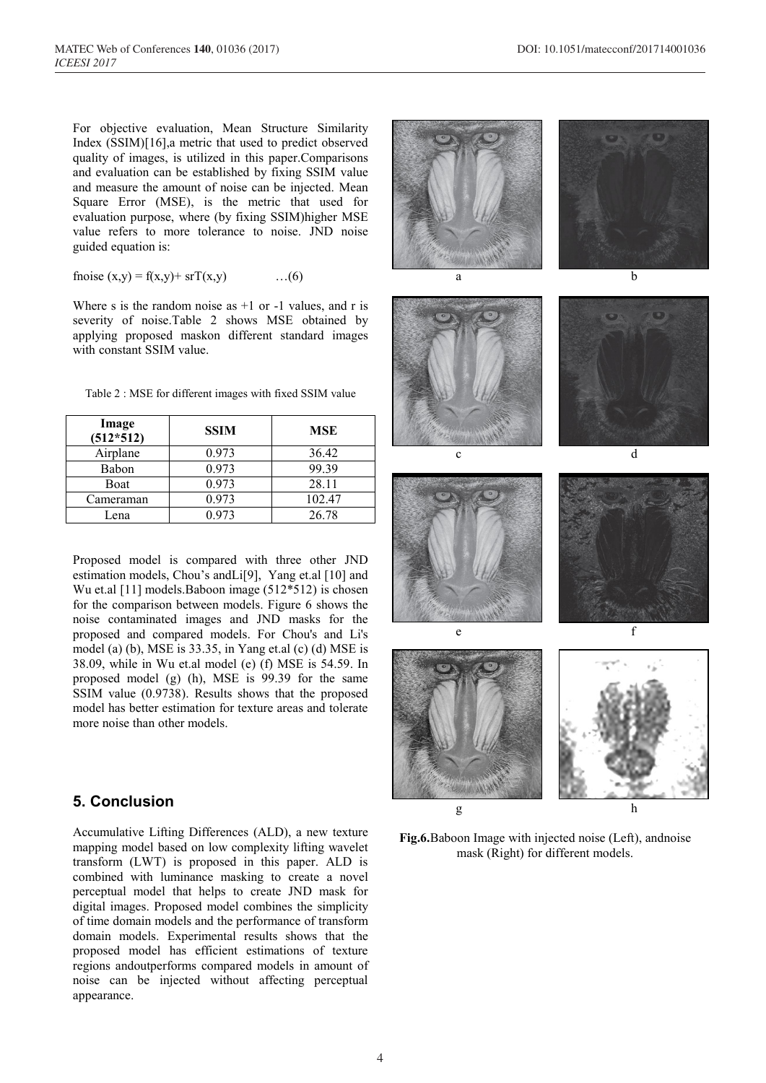For objective evaluation, Mean Structure Similarity Index (SSIM)[16],a metric that used to predict observed quality of images, is utilized in this paper.Comparisons and evaluation can be established by fixing SSIM value and measure the amount of noise can be injected. Mean Square Error (MSE), is the metric that used for evaluation purpose, where (by fixing SSIM)higher MSE value refers to more tolerance to noise. JND noise guided equation is:

fnoise (x,y) = f(x,y)+ srT(x,y) …(6)

Where s is the random noise as  $+1$  or  $-1$  values, and r is severity of noise.Table 2 shows MSE obtained by applying proposed maskon different standard images with constant SSIM value.

| Image<br>$(512*512)$ | <b>SSIM</b> | <b>MSE</b> |
|----------------------|-------------|------------|
| Airplane             | 0.973       | 36.42      |
| Babon                | 0.973       | 99.39      |
| <b>Boat</b>          | 0.973       | 28.11      |
| Cameraman            | 0.973       | 102.47     |
| Lena                 | 0.973       | 26.78      |

Table 2 : MSE for different images with fixed SSIM value

Proposed model is compared with three other JND estimation models, Chou's andLi[9], Yang et.al [10] and Wu et.al [11] models.Baboon image (512\*512) is chosen for the comparison between models. Figure 6 shows the noise contaminated images and JND masks for the proposed and compared models. For Chou's and Li's model (a) (b), MSE is 33.35, in Yang et.al (c) (d) MSE is 38.09, while in Wu et.al model (e) (f) MSE is 54.59. In proposed model (g) (h), MSE is 99.39 for the same SSIM value (0.9738). Results shows that the proposed model has better estimation for texture areas and tolerate more noise than other models.

## **5. Conclusion**

Accumulative Lifting Differences (ALD), a new texture mapping model based on low complexity lifting wavelet transform (LWT) is proposed in this paper. ALD is combined with luminance masking to create a novel perceptual model that helps to create JND mask for digital images. Proposed model combines the simplicity of time domain models and the performance of transform domain models. Experimental results shows that the proposed model has efficient estimations of texture regions andoutperforms compared models in amount of noise can be injected without affecting perceptual appearance.

**COMMUNICATION**  $g \qquad \qquad$  h

**Fig.6.**Baboon Image with injected noise (Left), andnoise mask (Right) for different models.